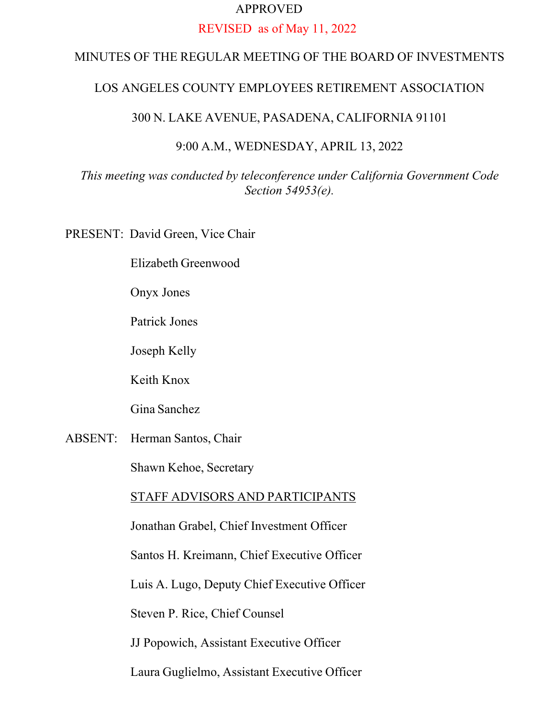### APPROVED

#### REVISED as of May 11, 2022

# MINUTES OF THE REGULAR MEETING OF THE BOARD OF INVESTMENTS

### LOS ANGELES COUNTY EMPLOYEES RETIREMENT ASSOCIATION

### 300 N. LAKE AVENUE, PASADENA, CALIFORNIA 91101

#### 9:00 A.M., WEDNESDAY, APRIL 13, 2022

## *This meeting was conducted by teleconference under California Government Code Section 54953(e).*

PRESENT: David Green, Vice Chair

Elizabeth Greenwood

Onyx Jones

Patrick Jones

Joseph Kelly

Keith Knox

Gina Sanchez

ABSENT: Herman Santos, Chair

Shawn Kehoe, Secretary

### STAFF ADVISORS AND PARTICIPANTS

Jonathan Grabel, Chief Investment Officer

Santos H. Kreimann, Chief Executive Officer

Luis A. Lugo, Deputy Chief Executive Officer

Steven P. Rice, Chief Counsel

JJ Popowich, Assistant Executive Officer

Laura Guglielmo, Assistant Executive Officer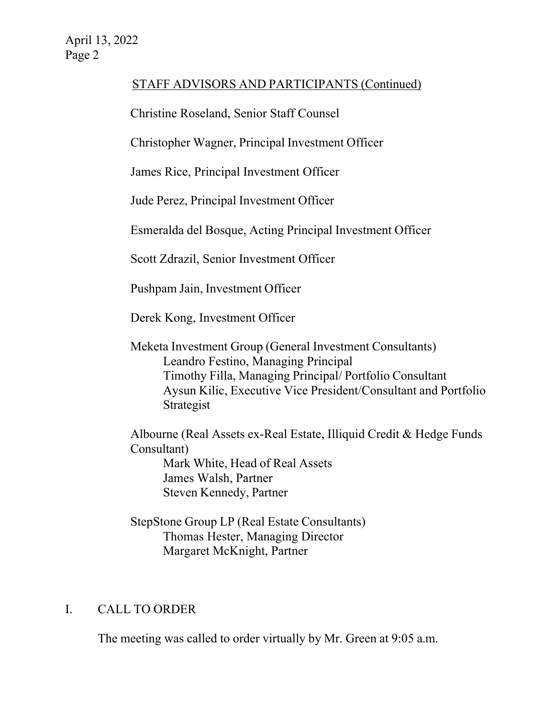# STAFF ADVISORS AND PARTICIPANTS (Continued)

Christine Roseland, Senior Staff Counsel

Christopher Wagner, Principal Investment Officer

James Rice, Principal Investment Officer

Jude Perez, Principal Investment Officer

Esmeralda del Bosque, Acting Principal Investment Officer

Scott Zdrazil, Senior Investment Officer

Pushpam Jain, Investment Officer

Derek Kong, Investment Officer

Meketa Investment Group (General Investment Consultants) Leandro Festino, Managing Principal Timothy Filla, Managing Principal/ Portfolio Consultant Aysun Kilic, Executive Vice President/Consultant and Portfolio Strategist

Albourne (Real Assets ex-Real Estate, Illiquid Credit & Hedge Funds Consultant)

Mark White, Head of Real Assets James Walsh, Partner Steven Kennedy, Partner

StepStone Group LP (Real Estate Consultants) Thomas Hester, Managing Director Margaret McKnight, Partner

## I. CALL TO ORDER

The meeting was called to order virtually by Mr. Green at 9:05 a.m.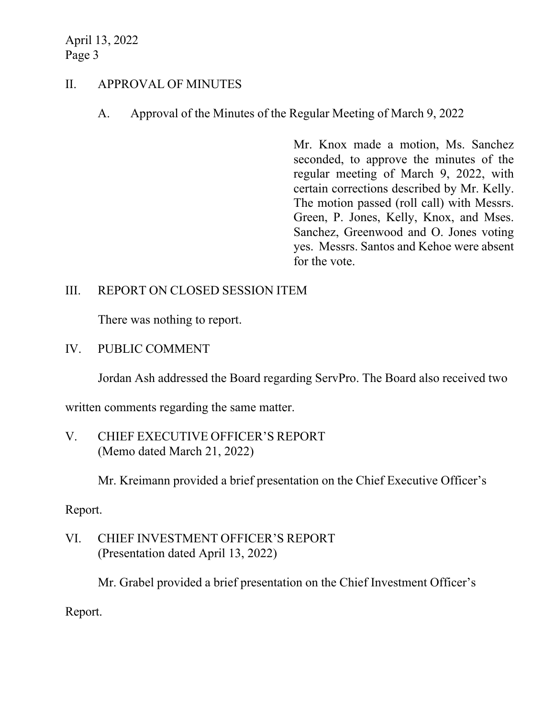## II. APPROVAL OF MINUTES

A. Approval of the Minutes of the Regular Meeting of March 9, 2022

Mr. Knox made a motion, Ms. Sanchez seconded, to approve the minutes of the regular meeting of March 9, 2022, with certain corrections described by Mr. Kelly. The motion passed (roll call) with Messrs. Green, P. Jones, Kelly, Knox, and Mses. Sanchez, Greenwood and O. Jones voting yes. Messrs. Santos and Kehoe were absent for the vote.

## III. REPORT ON CLOSED SESSION ITEM

There was nothing to report.

IV. PUBLIC COMMENT

Jordan Ash addressed the Board regarding ServPro. The Board also received two

written comments regarding the same matter.

V. CHIEF EXECUTIVE OFFICER'S REPORT (Memo dated March 21, 2022)

Mr. Kreimann provided a brief presentation on the Chief Executive Officer's

Report.

VI. CHIEF INVESTMENT OFFICER'S REPORT (Presentation dated April 13, 2022)

Mr. Grabel provided a brief presentation on the Chief Investment Officer's

Report.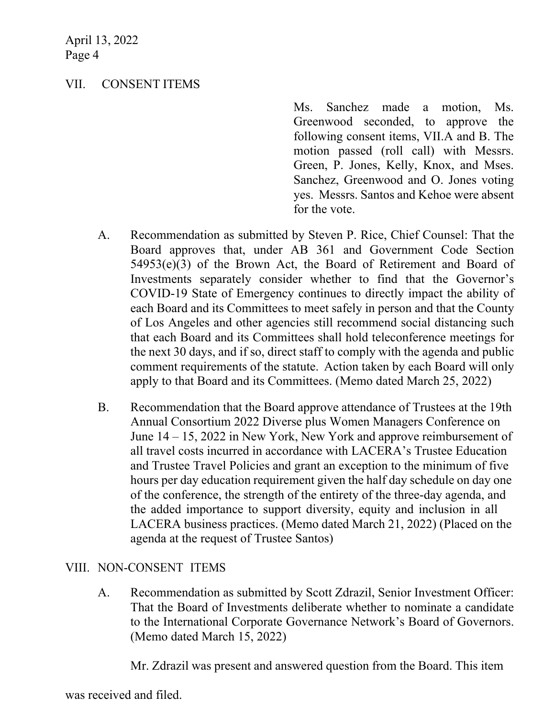## VII. CONSENT ITEMS

Ms. Sanchez made a motion, Ms. Greenwood seconded, to approve the following consent items, VII.A and B. The motion passed (roll call) with Messrs. Green, P. Jones, Kelly, Knox, and Mses. Sanchez, Greenwood and O. Jones voting yes. Messrs. Santos and Kehoe were absent for the vote.

- A. Recommendation as submitted by Steven P. Rice, Chief Counsel: That the Board approves that, under AB 361 and Government Code Section 54953(e)(3) of the Brown Act, the Board of Retirement and Board of Investments separately consider whether to find that the Governor's COVID-19 State of Emergency continues to directly impact the ability of each Board and its Committees to meet safely in person and that the County of Los Angeles and other agencies still recommend social distancing such that each Board and its Committees shall hold teleconference meetings for the next 30 days, and if so, direct staff to comply with the agenda and public comment requirements of the statute. Action taken by each Board will only apply to that Board and its Committees. (Memo dated March 25, 2022)
- B. Recommendation that the Board approve attendance of Trustees at the 19th Annual Consortium 2022 Diverse plus Women Managers Conference on June 14 – 15, 2022 in New York, New York and approve reimbursement of all travel costs incurred in accordance with LACERA's Trustee Education and Trustee Travel Policies and grant an exception to the minimum of five hours per day education requirement given the half day schedule on day one of the conference, the strength of the entirety of the three-day agenda, and the added importance to support diversity, equity and inclusion in all LACERA business practices. (Memo dated March 21, 2022) (Placed on the agenda at the request of Trustee Santos)

## VIII. NON-CONSENT ITEMS

A. Recommendation as submitted by Scott Zdrazil, Senior Investment Officer: That the Board of Investments deliberate whether to nominate a candidate to the International Corporate Governance Network's Board of Governors. (Memo dated March 15, 2022)

Mr. Zdrazil was present and answered question from the Board. This item

was received and filed.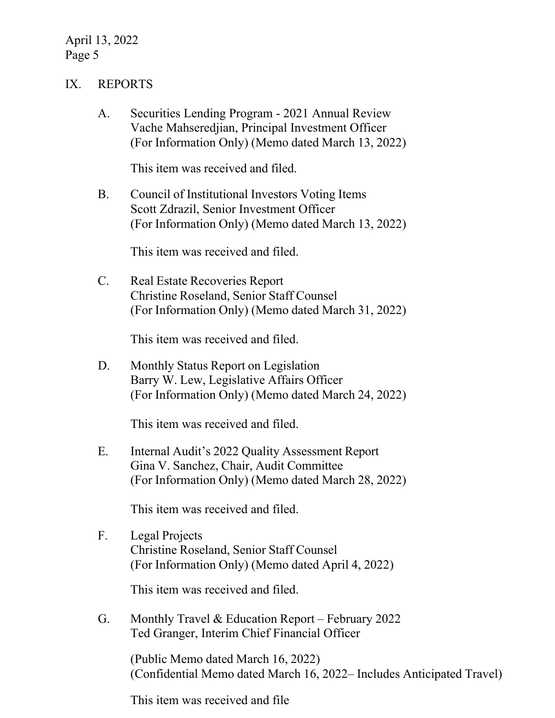### IX. REPORTS

A. Securities Lending Program - 2021 Annual Review Vache Mahseredjian, Principal Investment Officer (For Information Only) (Memo dated March 13, 2022)

This item was received and filed.

B. Council of Institutional Investors Voting Items Scott Zdrazil, Senior Investment Officer (For Information Only) (Memo dated March 13, 2022)

This item was received and filed.

C. Real Estate Recoveries Report Christine Roseland, Senior Staff Counsel (For Information Only) (Memo dated March 31, 2022)

This item was received and filed.

D. Monthly Status Report on Legislation Barry W. Lew, Legislative Affairs Officer (For Information Only) (Memo dated March 24, 2022)

This item was received and filed.

E. Internal Audit's 2022 Quality Assessment Report Gina V. Sanchez, Chair, Audit Committee (For Information Only) (Memo dated March 28, 2022)

This item was received and filed.

F. Legal Projects Christine Roseland, Senior Staff Counsel (For Information Only) (Memo dated April 4, 2022)

This item was received and filed.

G. Monthly Travel & Education Report – February 2022 Ted Granger, Interim Chief Financial Officer

> (Public Memo dated March 16, 2022) (Confidential Memo dated March 16, 2022– Includes Anticipated Travel)

This item was received and file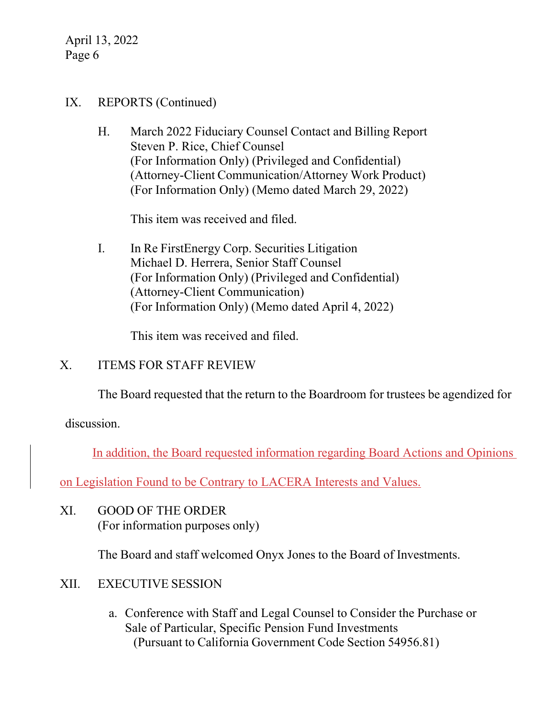## IX. REPORTS (Continued)

H. March 2022 Fiduciary Counsel Contact and Billing Report Steven P. Rice, Chief Counsel (For Information Only) (Privileged and Confidential) (Attorney-Client Communication/Attorney Work Product) (For Information Only) (Memo dated March 29, 2022)

This item was received and filed.

I. In Re FirstEnergy Corp. Securities Litigation Michael D. Herrera, Senior Staff Counsel (For Information Only) (Privileged and Confidential) (Attorney-Client Communication) (For Information Only) (Memo dated April 4, 2022)

This item was received and filed.

## X. ITEMS FOR STAFF REVIEW

The Board requested that the return to the Boardroom for trustees be agendized for

discussion.

In addition, the Board requested information regarding Board Actions and Opinions

on Legislation Found to be Contrary to LACERA Interests and Values.

XI. GOOD OF THE ORDER (For information purposes only)

The Board and staff welcomed Onyx Jones to the Board of Investments.

## XII. EXECUTIVE SESSION

a. Conference with Staff and Legal Counsel to Consider the Purchase or Sale of Particular, Specific Pension Fund Investments (Pursuant to California Government Code Section 54956.81)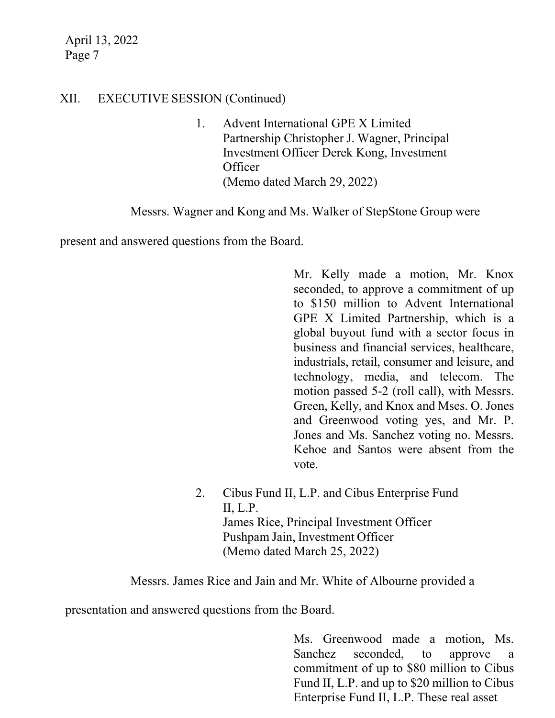## XII. EXECUTIVE SESSION (Continued)

1. Advent International GPE X Limited Partnership Christopher J. Wagner, Principal Investment Officer Derek Kong, Investment **Officer** (Memo dated March 29, 2022)

Messrs. Wagner and Kong and Ms. Walker of StepStone Group were

present and answered questions from the Board.

Mr. Kelly made a motion, Mr. Knox seconded, to approve a commitment of up to \$150 million to Advent International GPE X Limited Partnership, which is a global buyout fund with a sector focus in business and financial services, healthcare, industrials, retail, consumer and leisure, and technology, media, and telecom. The motion passed 5-2 (roll call), with Messrs. Green, Kelly, and Knox and Mses. O. Jones and Greenwood voting yes, and Mr. P. Jones and Ms. Sanchez voting no. Messrs. Kehoe and Santos were absent from the vote.

2. Cibus Fund II, L.P. and Cibus Enterprise Fund II, L.P. James Rice, Principal Investment Officer Pushpam Jain, Investment Officer (Memo dated March 25, 2022)

Messrs. James Rice and Jain and Mr. White of Albourne provided a

presentation and answered questions from the Board.

Ms. Greenwood made a motion, Ms. Sanchez seconded, to approve a commitment of up to \$80 million to Cibus Fund II, L.P. and up to \$20 million to Cibus Enterprise Fund II, L.P. These real asset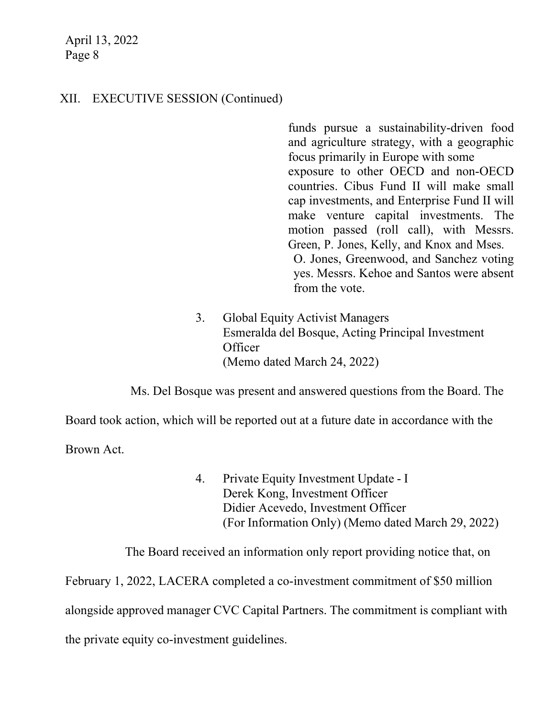## XII. EXECUTIVE SESSION (Continued)

funds pursue a sustainability-driven food and agriculture strategy, with a geographic focus primarily in Europe with some exposure to other OECD and non-OECD countries. Cibus Fund II will make small cap investments, and Enterprise Fund II will make venture capital investments. The motion passed (roll call), with Messrs. Green, P. Jones, Kelly, and Knox and Mses. O. Jones, Greenwood, and Sanchez voting yes. Messrs. Kehoe and Santos were absent from the vote.

3. Global Equity Activist Managers Esmeralda del Bosque, Acting Principal Investment **Officer** (Memo dated March 24, 2022)

Ms. Del Bosque was present and answered questions from the Board. The

Board took action, which will be reported out at a future date in accordance with the

Brown Act.

4. Private Equity Investment Update - I Derek Kong, Investment Officer Didier Acevedo, Investment Officer (For Information Only) (Memo dated March 29, 2022)

The Board received an information only report providing notice that, on

February 1, 2022, LACERA completed a co-investment commitment of \$50 million alongside approved manager CVC Capital Partners. The commitment is compliant with the private equity co-investment guidelines.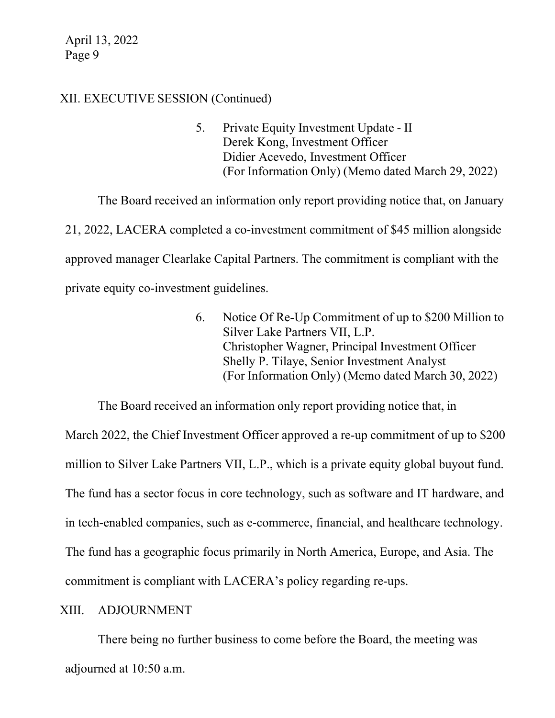## XII. EXECUTIVE SESSION (Continued)

5. Private Equity Investment Update - II Derek Kong, Investment Officer Didier Acevedo, Investment Officer (For Information Only) (Memo dated March 29, 2022)

The Board received an information only report providing notice that, on January 21, 2022, LACERA completed a co-investment commitment of \$45 million alongside approved manager Clearlake Capital Partners. The commitment is compliant with the private equity co-investment guidelines.

> 6. Notice Of Re-Up Commitment of up to \$200 Million to Silver Lake Partners VII, L.P. Christopher Wagner, Principal Investment Officer Shelly P. Tilaye, Senior Investment Analyst (For Information Only) (Memo dated March 30, 2022)

The Board received an information only report providing notice that, in March 2022, the Chief Investment Officer approved a re-up commitment of up to \$200 million to Silver Lake Partners VII, L.P., which is a private equity global buyout fund. The fund has a sector focus in core technology, such as software and IT hardware, and in tech-enabled companies, such as e-commerce, financial, and healthcare technology. The fund has a geographic focus primarily in North America, Europe, and Asia. The commitment is compliant with LACERA's policy regarding re-ups.

## XIII. ADJOURNMENT

There being no further business to come before the Board, the meeting was adjourned at 10:50 a.m.